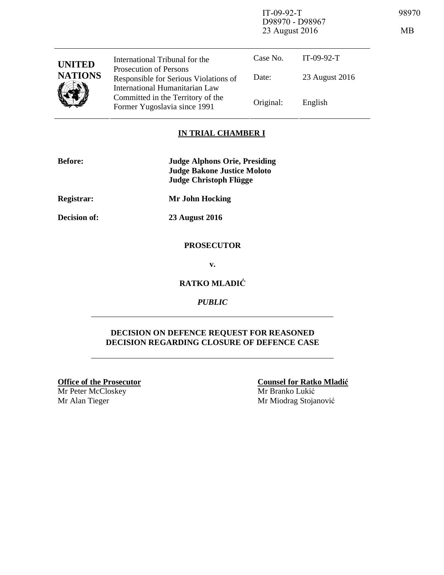IT-09-92-T 98970 D98970 - D98967 23 August 2016 MB

| <b>UNITED</b><br><b>NATIONS</b> | International Tribunal for the                                                                           | Case No.  | $IT-09-92-T$   |
|---------------------------------|----------------------------------------------------------------------------------------------------------|-----------|----------------|
|                                 | <b>Prosecution of Persons</b><br>Responsible for Serious Violations of<br>International Humanitarian Law | Date:     | 23 August 2016 |
|                                 | Committed in the Territory of the<br>Former Yugoslavia since 1991                                        | Original: | English        |

#### **IN TRIAL CHAMBER I**

| <b>Before:</b>      | <b>Judge Alphons Orie, Presiding</b><br><b>Judge Bakone Justice Moloto</b><br><b>Judge Christoph Flügge</b> |
|---------------------|-------------------------------------------------------------------------------------------------------------|
| <b>Registrar:</b>   | <b>Mr John Hocking</b>                                                                                      |
| <b>Decision of:</b> | <b>23 August 2016</b>                                                                                       |

#### **PROSECUTOR**

**v.** 

### **RATKO MLADIĆ**

*PUBLIC* 

#### **DECISION ON DEFENCE REQUEST FOR REASONED DECISION REGARDING CLOSURE OF DEFENCE CASE**

**Office of the Prosecutor** Mr Peter McCloskey Mr Alan Tieger

**Counsel for Ratko Mladić** Mr Branko Lukić Mr Miodrag Stojanović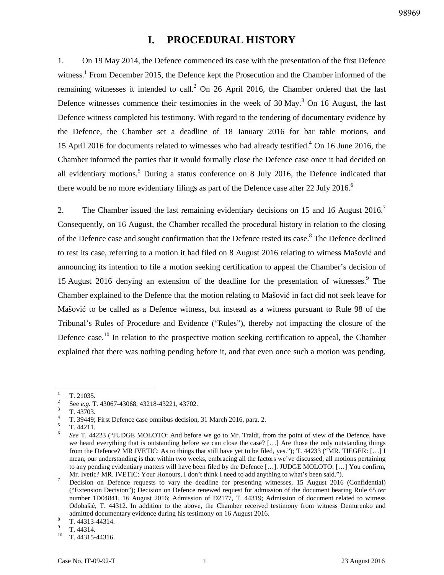# **I. PROCEDURAL HISTORY**

1. On 19 May 2014, the Defence commenced its case with the presentation of the first Defence witness.<sup>1</sup> From December 2015, the Defence kept the Prosecution and the Chamber informed of the remaining witnesses it intended to call. $^2$  On 26 April 2016, the Chamber ordered that the last Defence witnesses commence their testimonies in the week of 30 May.<sup>3</sup> On 16 August, the last Defence witness completed his testimony. With regard to the tendering of documentary evidence by the Defence, the Chamber set a deadline of 18 January 2016 for bar table motions, and 15 April 2016 for documents related to witnesses who had already testified.<sup>4</sup> On 16 June 2016, the Chamber informed the parties that it would formally close the Defence case once it had decided on all evidentiary motions.<sup>5</sup> During a status conference on 8 July 2016, the Defence indicated that there would be no more evidentiary filings as part of the Defence case after 22 July 2016.<sup>6</sup>

2. The Chamber issued the last remaining evidentiary decisions on 15 and 16 August 2016.<sup>7</sup> Consequently, on 16 August, the Chamber recalled the procedural history in relation to the closing of the Defence case and sought confirmation that the Defence rested its case.<sup>8</sup> The Defence declined to rest its case, referring to a motion it had filed on 8 August 2016 relating to witness Mašović and announcing its intention to file a motion seeking certification to appeal the Chamber's decision of 15 August 2016 denying an extension of the deadline for the presentation of witnesses. $9$  The Chamber explained to the Defence that the motion relating to Mašović in fact did not seek leave for Mašović to be called as a Defence witness, but instead as a witness pursuant to Rule 98 of the Tribunal's Rules of Procedure and Evidence ("Rules"), thereby not impacting the closure of the Defence case.<sup>10</sup> In relation to the prospective motion seeking certification to appeal, the Chamber explained that there was nothing pending before it, and that even once such a motion was pending,

 $\frac{1}{1}$ T. 21035.

<sup>2</sup> See *e.g.* T. 43067-43068, 43218-43221, 43702.

<sup>3</sup> T. 43703.

<sup>4</sup> T. 39449; First Defence case omnibus decision, 31 March 2016, para. 2. 5

T. 44211.

<sup>6</sup> *See* T. 44223 ("JUDGE MOLOTO: And before we go to Mr. Traldi, from the point of view of the Defence, have we heard everything that is outstanding before we can close the case? […] Are those the only outstanding things from the Defence? MR IVETIC: As to things that still have yet to be filed, yes."); T. 44233 ("MR. TIEGER: […] I mean, our understanding is that within two weeks, embracing all the factors we've discussed, all motions pertaining to any pending evidentiary matters will have been filed by the Defence […]. JUDGE MOLOTO: […] You confirm, Mr. Ivetic? MR. IVETIC: Your Honours, I don't think I need to add anything to what's been said.").

<sup>7</sup> Decision on Defence requests to vary the deadline for presenting witnesses, 15 August 2016 (Confidential) ("Extension Decision"); Decision on Defence renewed request for admission of the document bearing Rule 65 *ter*  number 1D04841, 16 August 2016; Admission of D2177, T. 44319; Admission of document related to witness Odobašić, T. 44312. In addition to the above, the Chamber received testimony from witness Demurenko and admitted documentary evidence during his testimony on 16 August 2016.

<sup>8</sup> T. 44313-44314.

<sup>9</sup>  $\frac{9}{10}$  T. 44314.

T. 44315-44316.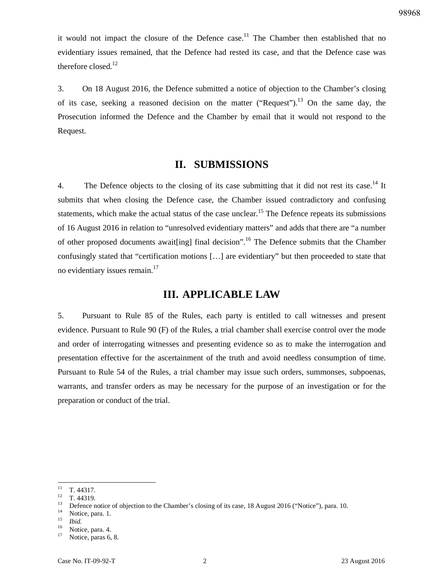it would not impact the closure of the Defence case.<sup>11</sup> The Chamber then established that no evidentiary issues remained, that the Defence had rested its case, and that the Defence case was therefore closed.<sup>12</sup>

3. On 18 August 2016, the Defence submitted a notice of objection to the Chamber's closing of its case, seeking a reasoned decision on the matter ("Request").<sup>13</sup> On the same day, the Prosecution informed the Defence and the Chamber by email that it would not respond to the Request.

# **II. SUBMISSIONS**

4. The Defence objects to the closing of its case submitting that it did not rest its case.<sup>14</sup> It submits that when closing the Defence case, the Chamber issued contradictory and confusing statements, which make the actual status of the case unclear.<sup>15</sup> The Defence repeats its submissions of 16 August 2016 in relation to "unresolved evidentiary matters" and adds that there are "a number of other proposed documents await [ing] final decision".<sup>16</sup> The Defence submits that the Chamber confusingly stated that "certification motions […] are evidentiary" but then proceeded to state that no evidentiary issues remain. $17$ 

### **III. APPLICABLE LAW**

5. Pursuant to Rule 85 of the Rules, each party is entitled to call witnesses and present evidence. Pursuant to Rule 90 (F) of the Rules, a trial chamber shall exercise control over the mode and order of interrogating witnesses and presenting evidence so as to make the interrogation and presentation effective for the ascertainment of the truth and avoid needless consumption of time. Pursuant to Rule 54 of the Rules, a trial chamber may issue such orders, summonses, subpoenas, warrants, and transfer orders as may be necessary for the purpose of an investigation or for the preparation or conduct of the trial.

 $11$  $\frac{11}{12}$  T. 44317.

 $\frac{12}{13}$  T. 44319.

<sup>13</sup> Defence notice of objection to the Chamber's closing of its case, 18 August 2016 ("Notice"), para. 10.

Notice, para. 1.

<sup>15</sup>  $\frac{15}{16}$  *Ibid.* 

 $\frac{16}{17}$  Notice, para. 4.

Notice, paras 6, 8.